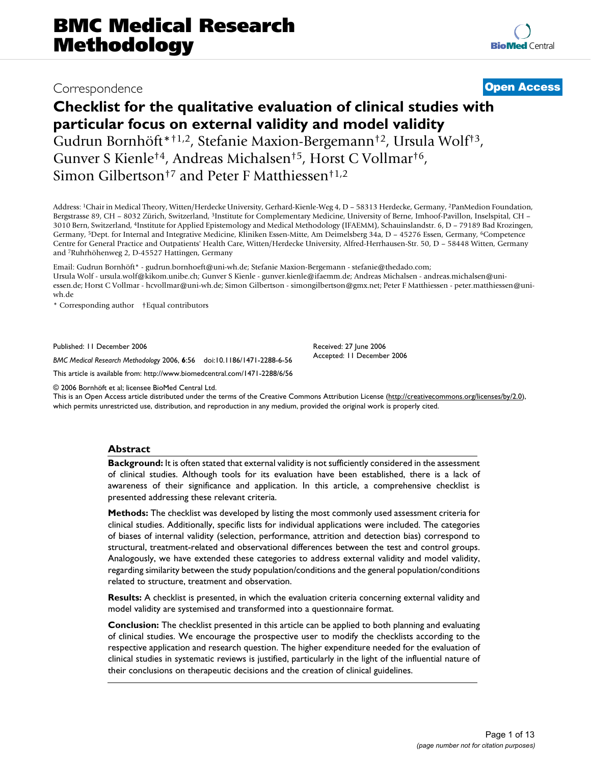## Correspondence **[Open Access](http://www.biomedcentral.com/info/about/charter/)**

## **Checklist for the qualitative evaluation of clinical studies with particular focus on external validity and model validity** Gudrun Bornhöft\*†1,2, Stefanie Maxion-Bergemann†2, Ursula Wolf†3, Gunver S Kienle†4, Andreas Michalsen†5, Horst C Vollmar†6, Simon Gilbertson†7 and Peter F Matthiessen†1,2

Address: 1Chair in Medical Theory, Witten/Herdecke University, Gerhard-Kienle-Weg 4, D – 58313 Herdecke, Germany, 2PanMedion Foundation, Bergstrasse 89, CH – 8032 Zürich, Switzerland, 3Institute for Complementary Medicine, University of Berne, Imhoof-Pavillon, Inselspital, CH – 3010 Bern, Switzerland, 4Institute for Applied Epistemology and Medical Methodology (IFAEMM), Schauinslandstr. 6, D – 79189 Bad Krozingen, Germany, 5Dept. for Internal and Integrative Medicine, Kliniken Essen-Mitte, Am Deimelsberg 34a, D – 45276 Essen, Germany, 6Competence Centre for General Practice and Outpatients' Health Care, Witten/Herdecke University, Alfred-Herrhausen-Str. 50, D – 58448 Witten, Germany and 7Ruhrhöhenweg 2, D-45527 Hattingen, Germany

Email: Gudrun Bornhöft\* - gudrun.bornhoeft@uni-wh.de; Stefanie Maxion-Bergemann - stefanie@thedado.com; Ursula Wolf - ursula.wolf@kikom.unibe.ch; Gunver S Kienle - gunver.kienle@ifaemm.de; Andreas Michalsen - andreas.michalsen@uniessen.de; Horst C Vollmar - hcvollmar@uni-wh.de; Simon Gilbertson - simongilbertson@gmx.net; Peter F Matthiessen - peter.matthiessen@uniwh.de

> Received: 27 June 2006 Accepted: 11 December 2006

\* Corresponding author †Equal contributors

Published: 11 December 2006

*BMC Medical Research Methodology* 2006, **6**:56 doi:10.1186/1471-2288-6-56

[This article is available from: http://www.biomedcentral.com/1471-2288/6/56](http://www.biomedcentral.com/1471-2288/6/56)

© 2006 Bornhöft et al; licensee BioMed Central Ltd.

This is an Open Access article distributed under the terms of the Creative Commons Attribution License [\(http://creativecommons.org/licenses/by/2.0\)](http://creativecommons.org/licenses/by/2.0), which permits unrestricted use, distribution, and reproduction in any medium, provided the original work is properly cited.

#### **Abstract**

**Background:** It is often stated that external validity is not sufficiently considered in the assessment of clinical studies. Although tools for its evaluation have been established, there is a lack of awareness of their significance and application. In this article, a comprehensive checklist is presented addressing these relevant criteria.

**Methods:** The checklist was developed by listing the most commonly used assessment criteria for clinical studies. Additionally, specific lists for individual applications were included. The categories of biases of internal validity (selection, performance, attrition and detection bias) correspond to structural, treatment-related and observational differences between the test and control groups. Analogously, we have extended these categories to address external validity and model validity, regarding similarity between the study population/conditions and the general population/conditions related to structure, treatment and observation.

**Results:** A checklist is presented, in which the evaluation criteria concerning external validity and model validity are systemised and transformed into a questionnaire format.

**Conclusion:** The checklist presented in this article can be applied to both planning and evaluating of clinical studies. We encourage the prospective user to modify the checklists according to the respective application and research question. The higher expenditure needed for the evaluation of clinical studies in systematic reviews is justified, particularly in the light of the influential nature of their conclusions on therapeutic decisions and the creation of clinical guidelines.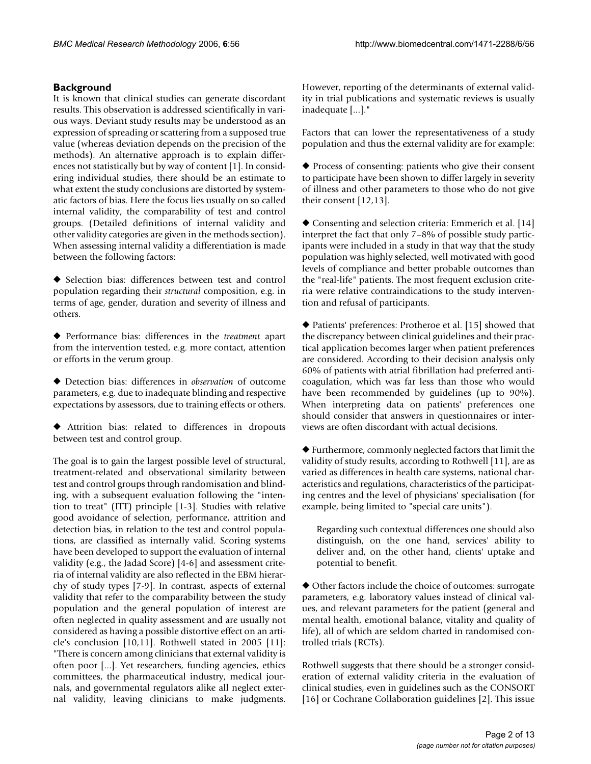### **Background**

It is known that clinical studies can generate discordant results. This observation is addressed scientifically in various ways. Deviant study results may be understood as an expression of spreading or scattering from a supposed true value (whereas deviation depends on the precision of the methods). An alternative approach is to explain differences not statistically but by way of content [1]. In considering individual studies, there should be an estimate to what extent the study conclusions are distorted by systematic factors of bias. Here the focus lies usually on so called internal validity, the comparability of test and control groups. (Detailed definitions of internal validity and other validity categories are given in the methods section). When assessing internal validity a differentiation is made between the following factors:

- Selection bias: differences between test and control population regarding their *structural* composition, e.g. in terms of age, gender, duration and severity of illness and others.

- Performance bias: differences in the *treatment* apart from the intervention tested, e.g. more contact, attention or efforts in the verum group.

- Detection bias: differences in *observation* of outcome parameters, e.g. due to inadequate blinding and respective expectations by assessors, due to training effects or others.

- Attrition bias: related to differences in dropouts between test and control group.

The goal is to gain the largest possible level of structural, treatment-related and observational similarity between test and control groups through randomisation and blinding, with a subsequent evaluation following the "intention to treat" (ITT) principle [1-3]. Studies with relative good avoidance of selection, performance, attrition and detection bias, in relation to the test and control populations, are classified as internally valid. Scoring systems have been developed to support the evaluation of internal validity (e.g., the Jadad Score) [4-6] and assessment criteria of internal validity are also reflected in the EBM hierarchy of study types [7-9]. In contrast, aspects of external validity that refer to the comparability between the study population and the general population of interest are often neglected in quality assessment and are usually not considered as having a possible distortive effect on an article's conclusion [10,11]. Rothwell stated in 2005 [11]: "There is concern among clinicians that external validity is often poor [...]. Yet researchers, funding agencies, ethics committees, the pharmaceutical industry, medical journals, and governmental regulators alike all neglect external validity, leaving clinicians to make judgments.

However, reporting of the determinants of external validity in trial publications and systematic reviews is usually inadequate [...]."

Factors that can lower the representativeness of a study population and thus the external validity are for example:

- Process of consenting: patients who give their consent to participate have been shown to differ largely in severity of illness and other parameters to those who do not give their consent [12,13].

- Consenting and selection criteria: Emmerich et al. [14] interpret the fact that only 7–8% of possible study participants were included in a study in that way that the study population was highly selected, well motivated with good levels of compliance and better probable outcomes than the "real-life" patients. The most frequent exclusion criteria were relative contraindications to the study intervention and refusal of participants.

◆ Patients' preferences: Protheroe et al. [15] showed that the discrepancy between clinical guidelines and their practical application becomes larger when patient preferences are considered. According to their decision analysis only 60% of patients with atrial fibrillation had preferred anticoagulation, which was far less than those who would have been recommended by guidelines (up to 90%). When interpreting data on patients' preferences one should consider that answers in questionnaires or interviews are often discordant with actual decisions.

- Furthermore, commonly neglected factors that limit the validity of study results, according to Rothwell [11], are as varied as differences in health care systems, national characteristics and regulations, characteristics of the participating centres and the level of physicians' specialisation (for example, being limited to "special care units").

Regarding such contextual differences one should also distinguish, on the one hand, services' ability to deliver and, on the other hand, clients' uptake and potential to benefit.

- Other factors include the choice of outcomes: surrogate parameters, e.g. laboratory values instead of clinical values, and relevant parameters for the patient (general and mental health, emotional balance, vitality and quality of life), all of which are seldom charted in randomised controlled trials (RCTs).

Rothwell suggests that there should be a stronger consideration of external validity criteria in the evaluation of clinical studies, even in guidelines such as the CONSORT [16] or Cochrane Collaboration guidelines [2]. This issue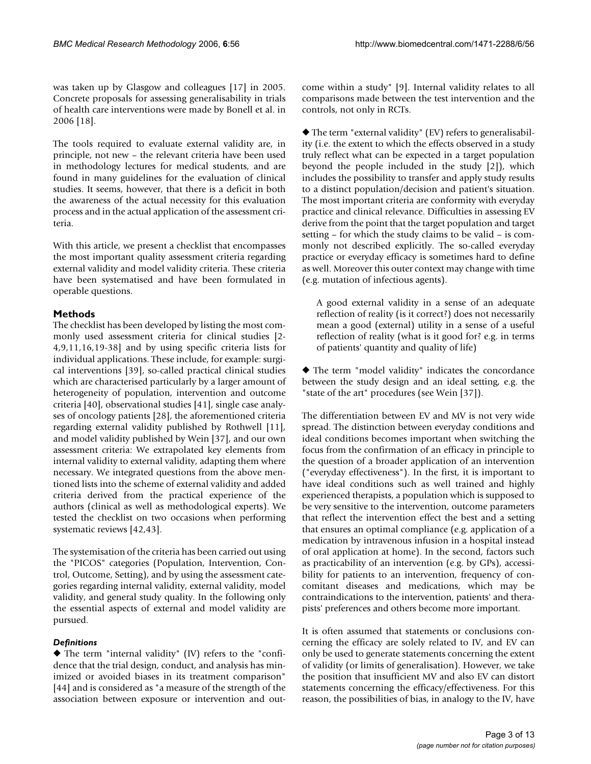was taken up by Glasgow and colleagues [17] in 2005. Concrete proposals for assessing generalisability in trials of health care interventions were made by Bonell et al. in 2006 [18].

The tools required to evaluate external validity are, in principle, not new – the relevant criteria have been used in methodology lectures for medical students, and are found in many guidelines for the evaluation of clinical studies. It seems, however, that there is a deficit in both the awareness of the actual necessity for this evaluation process and in the actual application of the assessment criteria.

With this article, we present a checklist that encompasses the most important quality assessment criteria regarding external validity and model validity criteria. These criteria have been systematised and have been formulated in operable questions.

### **Methods**

The checklist has been developed by listing the most commonly used assessment criteria for clinical studies [2- 4,9,11,16,19-38] and by using specific criteria lists for individual applications. These include, for example: surgical interventions [39], so-called practical clinical studies which are characterised particularly by a larger amount of heterogeneity of population, intervention and outcome criteria [40], observational studies [41], single case analyses of oncology patients [28], the aforementioned criteria regarding external validity published by Rothwell [11], and model validity published by Wein [37], and our own assessment criteria: We extrapolated key elements from internal validity to external validity, adapting them where necessary. We integrated questions from the above mentioned lists into the scheme of external validity and added criteria derived from the practical experience of the authors (clinical as well as methodological experts). We tested the checklist on two occasions when performing systematic reviews [42,43].

The systemisation of the criteria has been carried out using the "PICOS" categories (Population, Intervention, Control, Outcome, Setting), and by using the assessment categories regarding internal validity, external validity, model validity, and general study quality. In the following only the essential aspects of external and model validity are pursued.

#### *Definitions*

- The term "internal validity" (IV) refers to the "confidence that the trial design, conduct, and analysis has minimized or avoided biases in its treatment comparison" [44] and is considered as "a measure of the strength of the association between exposure or intervention and outcome within a study" [9]. Internal validity relates to all comparisons made between the test intervention and the controls, not only in RCTs.

- The term "external validity" (EV) refers to generalisability (i.e. the extent to which the effects observed in a study truly reflect what can be expected in a target population beyond the people included in the study [2]), which includes the possibility to transfer and apply study results to a distinct population/decision and patient's situation. The most important criteria are conformity with everyday practice and clinical relevance. Difficulties in assessing EV derive from the point that the target population and target setting – for which the study claims to be valid – is commonly not described explicitly. The so-called everyday practice or everyday efficacy is sometimes hard to define as well. Moreover this outer context may change with time (e.g. mutation of infectious agents).

A good external validity in a sense of an adequate reflection of reality (is it correct?) does not necessarily mean a good (external) utility in a sense of a useful reflection of reality (what is it good for? e.g. in terms of patients' quantity and quality of life)

- The term "model validity" indicates the concordance between the study design and an ideal setting, e.g. the "state of the art" procedures (see Wein [37]).

The differentiation between EV and MV is not very wide spread. The distinction between everyday conditions and ideal conditions becomes important when switching the focus from the confirmation of an efficacy in principle to the question of a broader application of an intervention ("everyday effectiveness"). In the first, it is important to have ideal conditions such as well trained and highly experienced therapists, a population which is supposed to be very sensitive to the intervention, outcome parameters that reflect the intervention effect the best and a setting that ensures an optimal compliance (e.g. application of a medication by intravenous infusion in a hospital instead of oral application at home). In the second, factors such as practicability of an intervention (e.g. by GPs), accessibility for patients to an intervention, frequency of concomitant diseases and medications, which may be contraindications to the intervention, patients' and therapists' preferences and others become more important.

It is often assumed that statements or conclusions concerning the efficacy are solely related to IV, and EV can only be used to generate statements concerning the extent of validity (or limits of generalisation). However, we take the position that insufficient MV and also EV can distort statements concerning the efficacy/effectiveness. For this reason, the possibilities of bias, in analogy to the IV, have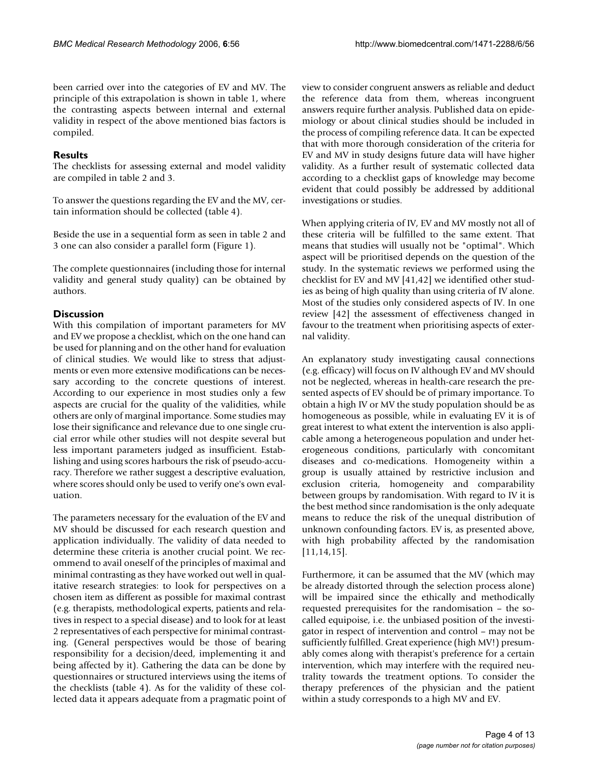been carried over into the categories of EV and MV. The principle of this extrapolation is shown in table 1, where the contrasting aspects between internal and external validity in respect of the above mentioned bias factors is compiled.

#### **Results**

The checklists for assessing external and model validity are compiled in table 2 and 3.

To answer the questions regarding the EV and the MV, certain information should be collected (table 4).

Beside the use in a sequential form as seen in table 2 and 3 one can also consider a parallel form (Figure 1).

The complete questionnaires (including those for internal validity and general study quality) can be obtained by authors.

#### **Discussion**

With this compilation of important parameters for MV and EV we propose a checklist, which on the one hand can be used for planning and on the other hand for evaluation of clinical studies. We would like to stress that adjustments or even more extensive modifications can be necessary according to the concrete questions of interest. According to our experience in most studies only a few aspects are crucial for the quality of the validities, while others are only of marginal importance. Some studies may lose their significance and relevance due to one single crucial error while other studies will not despite several but less important parameters judged as insufficient. Establishing and using scores harbours the risk of pseudo-accuracy. Therefore we rather suggest a descriptive evaluation, where scores should only be used to verify one's own evaluation.

The parameters necessary for the evaluation of the EV and MV should be discussed for each research question and application individually. The validity of data needed to determine these criteria is another crucial point. We recommend to avail oneself of the principles of maximal and minimal contrasting as they have worked out well in qualitative research strategies: to look for perspectives on a chosen item as different as possible for maximal contrast (e.g. therapists, methodological experts, patients and relatives in respect to a special disease) and to look for at least 2 representatives of each perspective for minimal contrasting. (General perspectives would be those of bearing responsibility for a decision/deed, implementing it and being affected by it). Gathering the data can be done by questionnaires or structured interviews using the items of the checklists (table 4). As for the validity of these collected data it appears adequate from a pragmatic point of view to consider congruent answers as reliable and deduct the reference data from them, whereas incongruent answers require further analysis. Published data on epidemiology or about clinical studies should be included in the process of compiling reference data. It can be expected that with more thorough consideration of the criteria for EV and MV in study designs future data will have higher validity. As a further result of systematic collected data according to a checklist gaps of knowledge may become evident that could possibly be addressed by additional investigations or studies.

When applying criteria of IV, EV and MV mostly not all of these criteria will be fulfilled to the same extent. That means that studies will usually not be "optimal". Which aspect will be prioritised depends on the question of the study. In the systematic reviews we performed using the checklist for EV and MV [41,42] we identified other studies as being of high quality than using criteria of IV alone. Most of the studies only considered aspects of IV. In one review [42] the assessment of effectiveness changed in favour to the treatment when prioritising aspects of external validity.

An explanatory study investigating causal connections (e.g. efficacy) will focus on IV although EV and MV should not be neglected, whereas in health-care research the presented aspects of EV should be of primary importance. To obtain a high IV or MV the study population should be as homogeneous as possible, while in evaluating EV it is of great interest to what extent the intervention is also applicable among a heterogeneous population and under heterogeneous conditions, particularly with concomitant diseases and co-medications. Homogeneity within a group is usually attained by restrictive inclusion and exclusion criteria, homogeneity and comparability between groups by randomisation. With regard to IV it is the best method since randomisation is the only adequate means to reduce the risk of the unequal distribution of unknown confounding factors. EV is, as presented above, with high probability affected by the randomisation [11,14,15].

Furthermore, it can be assumed that the MV (which may be already distorted through the selection process alone) will be impaired since the ethically and methodically requested prerequisites for the randomisation – the socalled equipoise, i.e. the unbiased position of the investigator in respect of intervention and control – may not be sufficiently fulfilled. Great experience (high MV!) presumably comes along with therapist's preference for a certain intervention, which may interfere with the required neutrality towards the treatment options. To consider the therapy preferences of the physician and the patient within a study corresponds to a high MV and EV.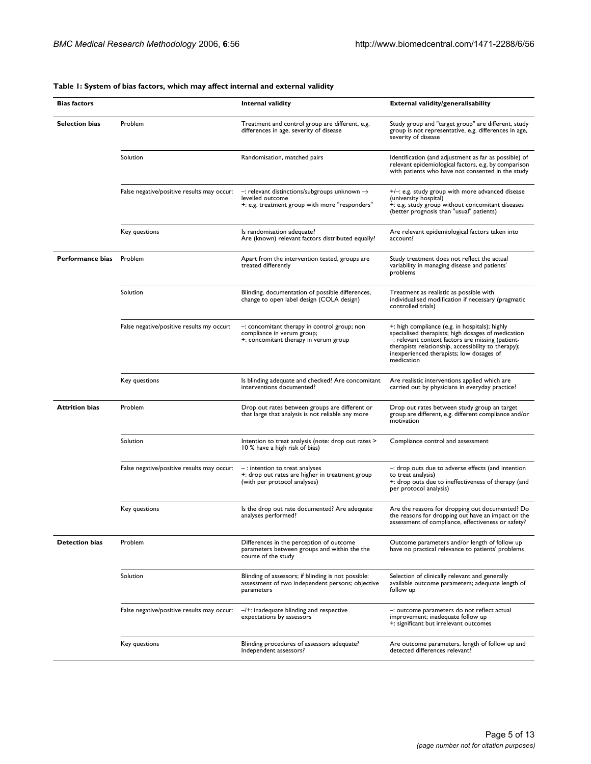| <b>Bias factors</b>   |                                            | Internal validity                                                                                                                 | External validity/generalisability                                                                                                                                                                                                                                         |  |  |
|-----------------------|--------------------------------------------|-----------------------------------------------------------------------------------------------------------------------------------|----------------------------------------------------------------------------------------------------------------------------------------------------------------------------------------------------------------------------------------------------------------------------|--|--|
| <b>Selection bias</b> | Problem                                    | Treatment and control group are different, e.g.<br>differences in age, severity of disease                                        | Study group and "target group" are different, study<br>group is not representative, e.g. differences in age,<br>severity of disease                                                                                                                                        |  |  |
|                       | Solution                                   | Randomisation, matched pairs                                                                                                      | Identification (and adjustment as far as possible) of<br>relevant epidemiological factors, e.g. by comparison<br>with patients who have not consented in the study                                                                                                         |  |  |
|                       | False negative/positive results may occur: | $-$ : relevant distinctions/subgroups unknown $\rightarrow$<br>levelled outcome<br>+: e.g. treatment group with more "responders" | $+/-$ : e.g. study group with more advanced disease<br>(university hospital)<br>+: e.g. study group without concomitant diseases<br>(better prognosis than "usual" patients)                                                                                               |  |  |
|                       | Key questions                              | Is randomisation adequate?<br>Are (known) relevant factors distributed equally?                                                   | Are relevant epidemiological factors taken into<br>account?                                                                                                                                                                                                                |  |  |
| Performance bias      | Problem                                    | Apart from the intervention tested, groups are<br>treated differently                                                             | Study treatment does not reflect the actual<br>variability in managing disease and patients'<br>problems                                                                                                                                                                   |  |  |
|                       | Solution                                   | Blinding, documentation of possible differences,<br>change to open label design (COLA design)                                     | Treatment as realistic as possible with<br>individualised modification if necessary (pragmatic<br>controlled trials)                                                                                                                                                       |  |  |
|                       | False negative/positive results my occur:  | : concomitant therapy in control group; non<br>compliance in verum group;<br>+: concomitant therapy in verum group                | +: high compliance (e.g. in hospitals); highly<br>specialised therapists; high dosages of medication<br>-: relevant context factors are missing (patient-<br>therapists relationship, accessibility to therapy);<br>inexperienced therapists; low dosages of<br>medication |  |  |
|                       | Key questions                              | Is blinding adequate and checked? Are concomitant<br>interventions documented?                                                    | Are realistic interventions applied which are<br>carried out by physicians in everyday practice?                                                                                                                                                                           |  |  |
| <b>Attrition bias</b> | Problem                                    | Drop out rates between groups are different or<br>that large that analysis is not reliable any more                               | Drop out rates between study group an target<br>group are different, e.g. different compliance and/or<br>motivation                                                                                                                                                        |  |  |
|                       | Solution                                   | Intention to treat analysis (note: drop out rates ><br>10 % have a high risk of bias)                                             | Compliance control and assessment                                                                                                                                                                                                                                          |  |  |
|                       | False negative/positive results may occur: | $-$ : intention to treat analyses<br>+: drop out rates are higher in treatment group<br>(with per protocol analyses)              | $\rightarrow$ : drop outs due to adverse effects (and intention<br>to treat analysis)<br>+: drop outs due to ineffectiveness of therapy (and<br>per protocol analysis)                                                                                                     |  |  |
|                       | Key questions                              | Is the drop out rate documented? Are adequate<br>analyses performed?                                                              | Are the reasons for dropping out documented? Do<br>the reasons for dropping out have an impact on the<br>assessment of compliance, effectiveness or safety?                                                                                                                |  |  |
| <b>Detection bias</b> | Problem                                    | Differences in the perception of outcome<br>parameters between groups and within the the<br>course of the study                   | Outcome parameters and/or length of follow up<br>have no practical relevance to patients' problems                                                                                                                                                                         |  |  |
|                       | Solution                                   | Blinding of assessors; if blinding is not possible:<br>assessment of two independent persons; objective<br>parameters             | Selection of clinically relevant and generally<br>available outcome parameters; adequate length of<br>follow up                                                                                                                                                            |  |  |
|                       | False negative/positive results may occur: | $-\prime$ +: inadequate blinding and respective<br>expectations by assessors                                                      | -: outcome parameters do not reflect actual<br>improvement; inadequate follow up<br>+: significant but irrelevant outcomes                                                                                                                                                 |  |  |
|                       | Key questions                              | Blinding procedures of assessors adequate?<br>Independent assessors?                                                              | Are outcome parameters, length of follow up and<br>detected differences relevant?                                                                                                                                                                                          |  |  |

#### **Table 1: System of bias factors, which may affect internal and external validity**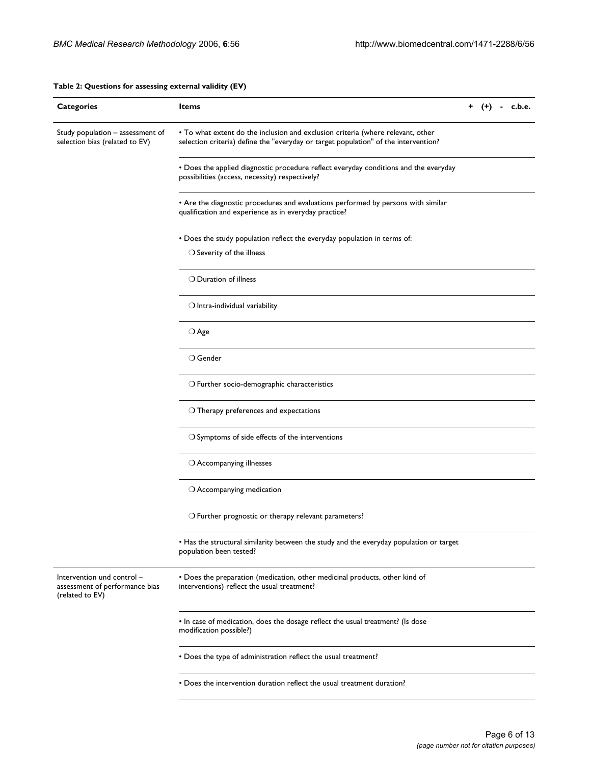#### **Table 2: Questions for assessing external validity (EV)**

| <b>Categories</b>                                                              | <b>Items</b>                                                                                                                                                           | $+$ (+) - c.b.e. |  |
|--------------------------------------------------------------------------------|------------------------------------------------------------------------------------------------------------------------------------------------------------------------|------------------|--|
| Study population - assessment of<br>selection bias (related to EV)             | • To what extent do the inclusion and exclusion criteria (where relevant, other<br>selection criteria) define the "everyday or target population" of the intervention? |                  |  |
|                                                                                | • Does the applied diagnostic procedure reflect everyday conditions and the everyday<br>possibilities (access, necessity) respectively?                                |                  |  |
|                                                                                | • Are the diagnostic procedures and evaluations performed by persons with similar<br>qualification and experience as in everyday practice?                             |                  |  |
|                                                                                | • Does the study population reflect the everyday population in terms of:                                                                                               |                  |  |
|                                                                                | $\bigcirc$ Severity of the illness                                                                                                                                     |                  |  |
|                                                                                | $\bigcirc$ Duration of illness                                                                                                                                         |                  |  |
|                                                                                | $\bigcirc$ Intra-individual variability                                                                                                                                |                  |  |
|                                                                                | $\bigcirc$ Age                                                                                                                                                         |                  |  |
|                                                                                | $\bigcirc$ Gender                                                                                                                                                      |                  |  |
|                                                                                | O Further socio-demographic characteristics                                                                                                                            |                  |  |
|                                                                                | $\bigcirc$ Therapy preferences and expectations                                                                                                                        |                  |  |
|                                                                                | $\bigcirc$ Symptoms of side effects of the interventions                                                                                                               |                  |  |
|                                                                                | O Accompanying illnesses                                                                                                                                               |                  |  |
|                                                                                | $\bigcirc$ Accompanying medication                                                                                                                                     |                  |  |
|                                                                                | $\bigcirc$ Further prognostic or therapy relevant parameters?                                                                                                          |                  |  |
|                                                                                | . Has the structural similarity between the study and the everyday population or target<br>population been tested?                                                     |                  |  |
| Intervention und control-<br>assessment of performance bias<br>(related to EV) | • Does the preparation (medication, other medicinal products, other kind of<br>interventions) reflect the usual treatment?                                             |                  |  |
|                                                                                | . In case of medication, does the dosage reflect the usual treatment? (Is dose<br>modification possible?)                                                              |                  |  |
|                                                                                | . Does the type of administration reflect the usual treatment?                                                                                                         |                  |  |
|                                                                                | • Does the intervention duration reflect the usual treatment duration?                                                                                                 |                  |  |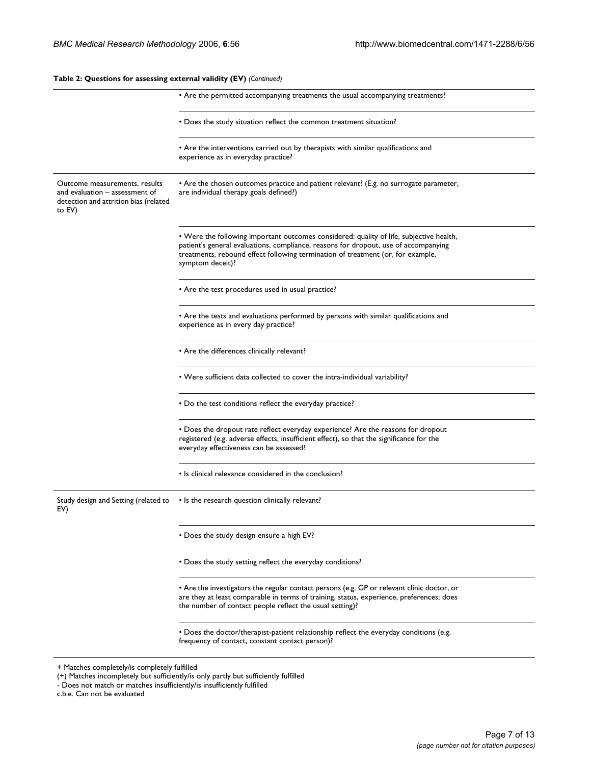# • Are the permitted accompanying treatments the usual accompanying treatments? • Does the study situation reflect the common treatment situation? • Are the interventions carried out by therapists with similar qualifications and experience as in everyday practice? Outcome measurements, results and evaluation – assessment of detection and attrition bias (related to EV) • Are the chosen outcomes practice and patient relevant? (E.g. no surrogate parameter, are individual therapy goals defined?) • Were the following important outcomes considered: quality of life, subjective health, patient's general evaluations, compliance, reasons for dropout, use of accompanying treatments, rebound effect following termination of treatment (or, for example, symptom deceit)? • Are the test procedures used in usual practice? • Are the tests and evaluations performed by persons with similar qualifications and experience as in every day practice? • Are the differences clinically relevant? • Were sufficient data collected to cover the intra-individual variability? • Do the test conditions reflect the everyday practice? • Does the dropout rate reflect everyday experience? Are the reasons for dropout registered (e.g. adverse effects, insufficient effect), so that the significance for the everyday effectiveness can be assessed? • Is clinical relevance considered in the conclusion? Study design and Setting (related to • Is the research question clinically relevant? EV) • Does the study design ensure a high EV? • Does the study setting reflect the everyday conditions? • Are the investigators the regular contact persons (e.g. GP or relevant clinic doctor, or are they at least comparable in terms of training, status, experience, preferences; does the number of contact people reflect the usual setting)? • Does the doctor/therapist-patient relationship reflect the everyday conditions (e.g. frequency of contact, constant contact person)? **Table 2: Questions for assessing external validity (EV)** *(Continued)*

- Does not match or matches insufficiently/is insufficiently fulfilled

c.b.e. Can not be evaluated

<sup>+</sup> Matches completely/is completely fulfilled

<sup>(+)</sup> Matches incompletely but sufficiently/is only partly but sufficiently fulfilled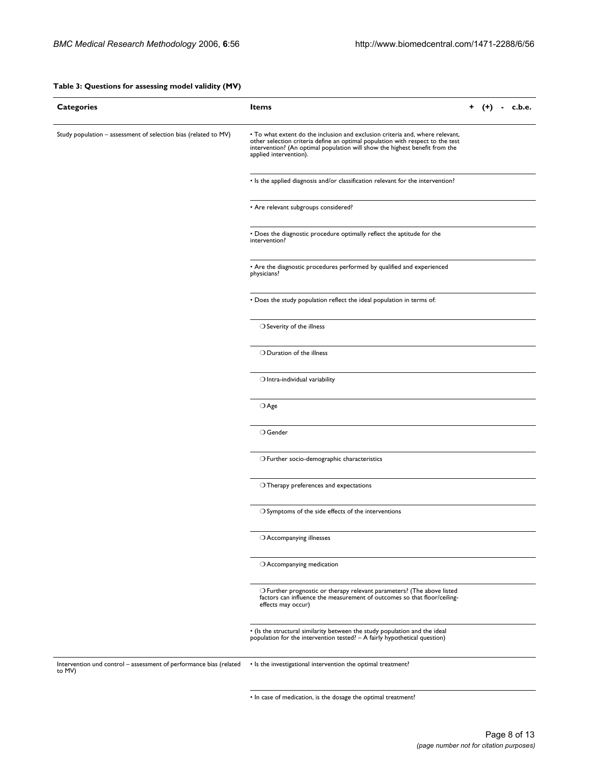#### **Table 3: Questions for assessing model validity (MV)**

| <b>Categories</b>                                                                       | <b>Items</b>                                                                                                                                                                                                                                                             |  |  |  | $+$ (+) - c.b.e. |
|-----------------------------------------------------------------------------------------|--------------------------------------------------------------------------------------------------------------------------------------------------------------------------------------------------------------------------------------------------------------------------|--|--|--|------------------|
| Study population - assessment of selection bias (related to MV)                         | • To what extent do the inclusion and exclusion criteria and, where relevant,<br>other selection criteria define an optimal population with respect to the test<br>intervention? (An optimal population will show the highest benefit from the<br>applied intervention). |  |  |  |                  |
|                                                                                         | • Is the applied diagnosis and/or classification relevant for the intervention?                                                                                                                                                                                          |  |  |  |                  |
|                                                                                         | • Are relevant subgroups considered?                                                                                                                                                                                                                                     |  |  |  |                  |
| • Does the diagnostic procedure optimally reflect the aptitude for the<br>intervention? |                                                                                                                                                                                                                                                                          |  |  |  |                  |
|                                                                                         | • Are the diagnostic procedures performed by qualified and experienced<br>physicians?                                                                                                                                                                                    |  |  |  |                  |
|                                                                                         | • Does the study population reflect the ideal population in terms of:                                                                                                                                                                                                    |  |  |  |                  |
|                                                                                         | ○ Severity of the illness                                                                                                                                                                                                                                                |  |  |  |                  |
|                                                                                         | O Duration of the illness                                                                                                                                                                                                                                                |  |  |  |                  |
|                                                                                         | $\bigcirc$ Intra-individual variability                                                                                                                                                                                                                                  |  |  |  |                  |
|                                                                                         | $\bigcirc$ Age                                                                                                                                                                                                                                                           |  |  |  |                  |
|                                                                                         | ○ Gender                                                                                                                                                                                                                                                                 |  |  |  |                  |
|                                                                                         | O Further socio-demographic characteristics                                                                                                                                                                                                                              |  |  |  |                  |
|                                                                                         | O Therapy preferences and expectations                                                                                                                                                                                                                                   |  |  |  |                  |
|                                                                                         | O Symptoms of the side effects of the interventions                                                                                                                                                                                                                      |  |  |  |                  |
|                                                                                         | O Accompanying illnesses                                                                                                                                                                                                                                                 |  |  |  |                  |
|                                                                                         | O Accompanying medication                                                                                                                                                                                                                                                |  |  |  |                  |
|                                                                                         | O Further prognostic or therapy relevant parameters? (The above listed<br>factors can influence the measurement of outcomes so that floor/ceiling-<br>effects may occur)                                                                                                 |  |  |  |                  |
|                                                                                         | • (Is the structural similarity between the study population and the ideal<br>population for the intervention tested? - A fairly hypothetical question)                                                                                                                  |  |  |  |                  |
| Intervention und control - assessment of performance bias (related<br>to MV)            | • Is the investigational intervention the optimal treatment?                                                                                                                                                                                                             |  |  |  |                  |

• In case of medication, is the dosage the optimal treatment?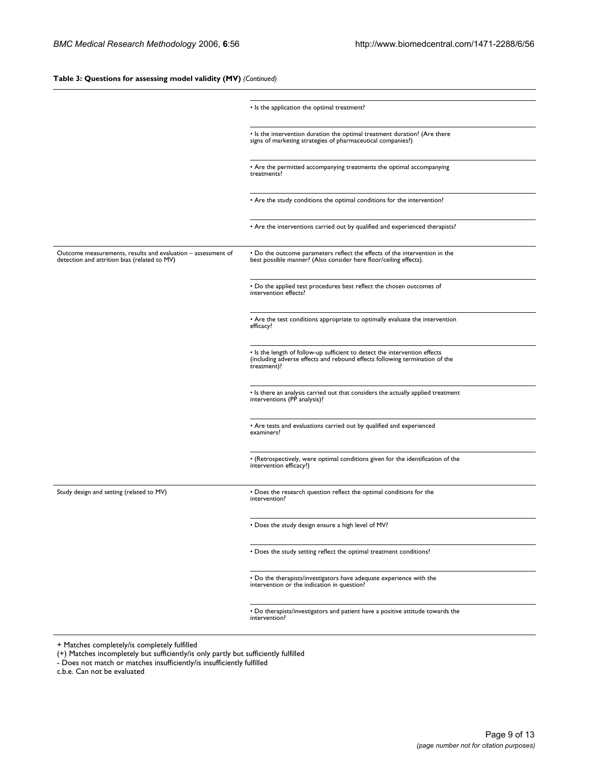#### **Table 3: Questions for assessing model validity (MV)** *(Continued)*

|                                                                                                              | • Is the application the optimal treatment?                                                                                                                              |
|--------------------------------------------------------------------------------------------------------------|--------------------------------------------------------------------------------------------------------------------------------------------------------------------------|
|                                                                                                              | • Is the intervention duration the optimal treatment duration? (Are there<br>signs of marketing strategies of pharmaceutical companies?)                                 |
|                                                                                                              | • Are the permitted accompanying treatments the optimal accompanying<br>treatments?                                                                                      |
|                                                                                                              | • Are the study conditions the optimal conditions for the intervention?                                                                                                  |
|                                                                                                              | • Are the interventions carried out by qualified and experienced therapists?                                                                                             |
| Outcome measurements, results and evaluation - assessment of<br>detection and attrition bias (related to MV) | • Do the outcome parameters reflect the effects of the intervention in the<br>best possible manner? (Also consider here floor/ceiling effects).                          |
|                                                                                                              | • Do the applied test procedures best reflect the chosen outcomes of<br>intervention effects?                                                                            |
|                                                                                                              | • Are the test conditions appropriate to optimally evaluate the intervention<br>efficacy?                                                                                |
|                                                                                                              | • Is the length of follow-up sufficient to detect the intervention effects<br>(including adverse effects and rebound effects following termination of the<br>treatment)? |
|                                                                                                              | • Is there an analysis carried out that considers the actually applied treatment<br>interventions (PP analysis)?                                                         |
|                                                                                                              | • Are tests and evaluations carried out by qualified and experienced<br>examiners?                                                                                       |
|                                                                                                              | • (Retrospectively, were optimal conditions given for the identification of the<br>intervention efficacy?)                                                               |
| Study design and setting (related to MV)                                                                     | • Does the research question reflect the optimal conditions for the<br>intervention?                                                                                     |
|                                                                                                              | • Does the study design ensure a high level of MV?                                                                                                                       |
|                                                                                                              | • Does the study setting reflect the optimal treatment conditions?                                                                                                       |
|                                                                                                              | • Do the therapists/investigators have adequate experience with the<br>intervention or the indication in question?                                                       |
|                                                                                                              | • Do therapists/investigators and patient have a positive attitude towards the<br>intervention?                                                                          |

+ Matches completely/is completely fulfilled

- (+) Matches incompletely but sufficiently/is only partly but sufficiently fulfilled
- Does not match or matches insufficiently/is insufficiently fulfilled

c.b.e. Can not be evaluated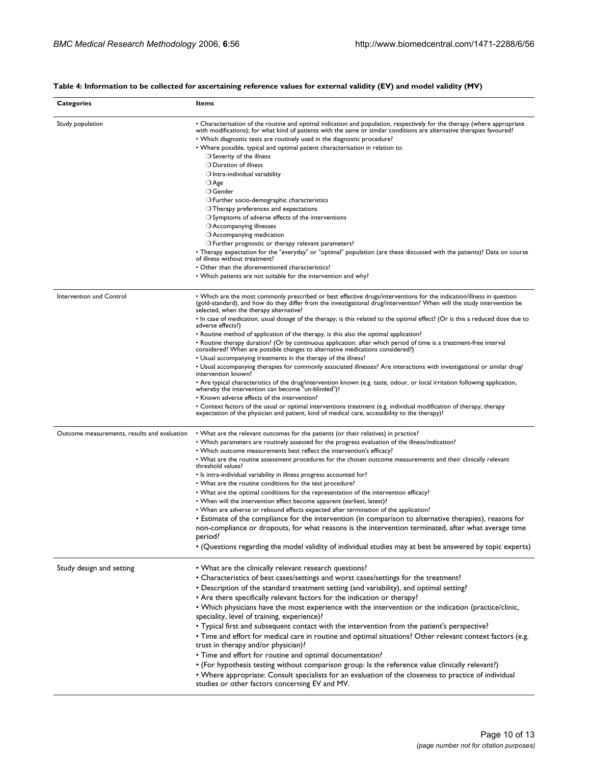| <b>Categories</b>                            | <b>Items</b>                                                                                                                                                                                                                                                                                |  |  |  |
|----------------------------------------------|---------------------------------------------------------------------------------------------------------------------------------------------------------------------------------------------------------------------------------------------------------------------------------------------|--|--|--|
| Study population                             | • Characterisation of the routine and optimal indication and population, respectively for the therapy (where appropriate<br>with modifications); for what kind of patients with the same or similar conditions are alternative therapies favoured?                                          |  |  |  |
|                                              | . Which diagnostic tests are routinely used in the diagnostic procedure?                                                                                                                                                                                                                    |  |  |  |
|                                              | • Where possible, typical and optimal patient characterisation in relation to:<br>$\bigcirc$ Severity of the illness                                                                                                                                                                        |  |  |  |
|                                              | O Duration of illness                                                                                                                                                                                                                                                                       |  |  |  |
|                                              | $\bigcirc$ Intra-individual variability                                                                                                                                                                                                                                                     |  |  |  |
|                                              | ○ Age                                                                                                                                                                                                                                                                                       |  |  |  |
|                                              | ○ Gender                                                                                                                                                                                                                                                                                    |  |  |  |
|                                              | O Further socio-demographic characteristics                                                                                                                                                                                                                                                 |  |  |  |
|                                              | O Therapy preferences and expectations                                                                                                                                                                                                                                                      |  |  |  |
|                                              | $\bigcirc$ Symptoms of adverse effects of the interventions                                                                                                                                                                                                                                 |  |  |  |
|                                              | $\bigcirc$ Accompanying illnesses                                                                                                                                                                                                                                                           |  |  |  |
|                                              | $\bigcirc$ Accompanying medication<br>$\bigcirc$ Further prognostic or therapy relevant parameters?                                                                                                                                                                                         |  |  |  |
|                                              | • Therapy expectation for the "everyday" or "optimal" population (are these discussed with the patients)? Data on course                                                                                                                                                                    |  |  |  |
|                                              | of illness without treatment?                                                                                                                                                                                                                                                               |  |  |  |
|                                              | • Other than the aforementioned characteristics?                                                                                                                                                                                                                                            |  |  |  |
|                                              | • Which patients are not suitable for the intervention and why?                                                                                                                                                                                                                             |  |  |  |
| Intervention und Control                     | • Which are the most commonly prescribed or best effective drugs/interventions for the indication/illness in question<br>(gold-standard), and how do they differ from the investigational drug/intervention? When will the study intervention be<br>selected, when the therapy alternative? |  |  |  |
|                                              | • In case of medication, usual dosage of the therapy; is this related to the optimal effect? (Or is this a reduced dose due to<br>adverse effects?)                                                                                                                                         |  |  |  |
|                                              | • Routine method of application of the therapy, is this also the optimal application?                                                                                                                                                                                                       |  |  |  |
|                                              | • Routine therapy duration? (Or by continuous application: after which period of time is a treatment-free interval                                                                                                                                                                          |  |  |  |
|                                              | considered? When are possible changes to alternative medications considered?)<br>• Usual accompanying treatments in the therapy of the illness?                                                                                                                                             |  |  |  |
|                                              | • Usual accompanying therapies for commonly associated illnesses? Are interactions with investigational or similar drug/                                                                                                                                                                    |  |  |  |
|                                              | intervention known?                                                                                                                                                                                                                                                                         |  |  |  |
|                                              | • Are typical characteristics of the drug/intervention known (e.g. taste, odour, or local irritation following application,<br>whereby the intervention can become "un-blinded")?<br>• Known adverse effects of the intervention?                                                           |  |  |  |
|                                              | • Context factors of the usual or optimal interventions treatment (e.g. individual modification of therapy, therapy                                                                                                                                                                         |  |  |  |
|                                              | expectation of the physician and patient, kind of medical care, accessibility to the therapy)?                                                                                                                                                                                              |  |  |  |
| Outcome measurements, results and evaluation | • What are the relevant outcomes for the patients (or their relatives) in practice?                                                                                                                                                                                                         |  |  |  |
|                                              | . Which parameters are routinely assessed for the progress evaluation of the illness/indication?                                                                                                                                                                                            |  |  |  |
|                                              | . Which outcome measurements best reflect the intervention's efficacy?                                                                                                                                                                                                                      |  |  |  |
|                                              | • What are the routine assessment procedures for the chosen outcome measurements and their clinically relevant<br>threshold values?                                                                                                                                                         |  |  |  |
|                                              | • Is intra-individual variability in illness progress accounted for?                                                                                                                                                                                                                        |  |  |  |
|                                              | . What are the routine conditions for the test procedure?<br>. What are the optimal conditions for the representation of the intervention efficacy?                                                                                                                                         |  |  |  |
|                                              | . When will the intervention effect become apparent (earliest, latest)?                                                                                                                                                                                                                     |  |  |  |
|                                              | . When are adverse or rebound effects expected after termination of the application?                                                                                                                                                                                                        |  |  |  |
|                                              | • Estimate of the compliance for the intervention (in comparison to alternative therapies), reasons for                                                                                                                                                                                     |  |  |  |
|                                              | non-compliance or dropouts, for what reasons is the intervention terminated, after what average time                                                                                                                                                                                        |  |  |  |
|                                              | period?                                                                                                                                                                                                                                                                                     |  |  |  |
|                                              | • (Questions regarding the model validity of individual studies may at best be answered by topic experts)                                                                                                                                                                                   |  |  |  |
| Study design and setting                     | • What are the clinically relevant research questions?                                                                                                                                                                                                                                      |  |  |  |
|                                              | • Characteristics of best cases/settings and worst cases/settings for the treatment?                                                                                                                                                                                                        |  |  |  |
|                                              | • Description of the standard treatment setting (and variability), and optimal setting?                                                                                                                                                                                                     |  |  |  |
|                                              | • Are there specifically relevant factors for the indication or therapy?                                                                                                                                                                                                                    |  |  |  |
|                                              | . Which physicians have the most experience with the intervention or the indication (practice/clinic,<br>speciality, level of training, experience)?                                                                                                                                        |  |  |  |
|                                              | • Typical first and subsequent contact with the intervention from the patient's perspective?                                                                                                                                                                                                |  |  |  |
|                                              | • Time and effort for medical care in routine and optimal situations? Other relevant context factors (e.g.                                                                                                                                                                                  |  |  |  |
|                                              | trust in therapy and/or physician)?                                                                                                                                                                                                                                                         |  |  |  |
|                                              | • Time and effort for routine and optimal documentation?                                                                                                                                                                                                                                    |  |  |  |
|                                              | • (For hypothesis testing without comparison group: Is the reference value clinically relevant?)                                                                                                                                                                                            |  |  |  |
|                                              | • Where appropriate: Consult specialists for an evaluation of the closeness to practice of individual                                                                                                                                                                                       |  |  |  |
|                                              | studies or other factors concerning EV and MV.                                                                                                                                                                                                                                              |  |  |  |

#### **Table 4: Information to be collected for ascertaining reference values for external validity (EV) and model validity (MV)**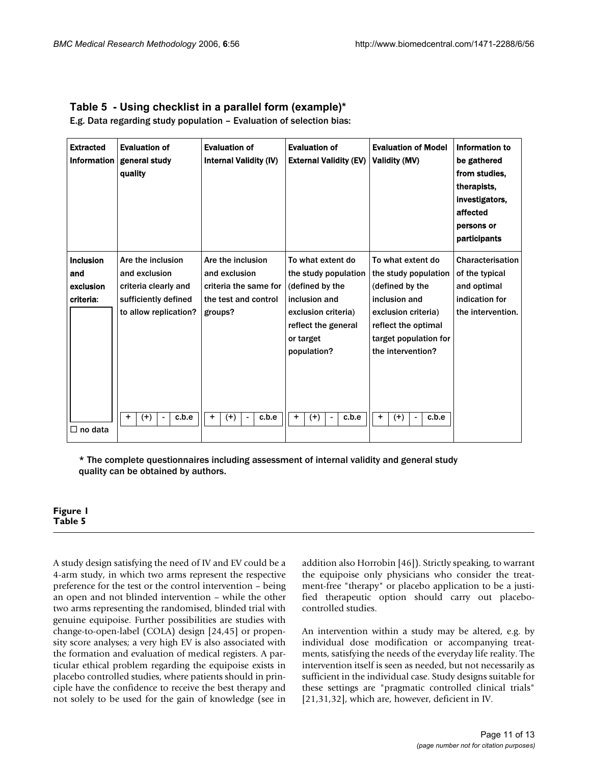## Table 5 - Using checklist in a parallel form (example)\*

E.g. Data regarding study population – Evaluation of selection bias:

| <b>Extracted</b><br><b>Information</b>                              | <b>Evaluation of</b><br>general study<br>quality                                                                                   | <b>Evaluation of</b><br><b>Internal Validity (IV)</b>                                                                 | <b>Evaluation of</b><br><b>External Validity (EV)</b>                                                                                                                                  | <b>Evaluation of Model</b><br><b>Validity (MV)</b>                                                                                                                                                       | Information to<br>be gathered<br>from studies,<br>therapists,<br>investigators,<br>affected<br>persons or<br>participants |
|---------------------------------------------------------------------|------------------------------------------------------------------------------------------------------------------------------------|-----------------------------------------------------------------------------------------------------------------------|----------------------------------------------------------------------------------------------------------------------------------------------------------------------------------------|----------------------------------------------------------------------------------------------------------------------------------------------------------------------------------------------------------|---------------------------------------------------------------------------------------------------------------------------|
| <b>Inclusion</b><br>and<br>exclusion<br>criteria:<br>$\Box$ no data | Are the inclusion<br>and exclusion<br>criteria clearly and<br>sufficiently defined<br>to allow replication?<br>$(+)$<br>c.b.e<br>+ | Are the inclusion<br>and exclusion<br>criteria the same for<br>the test and control<br>groups?<br>+<br>$(+)$<br>c.b.e | To what extent do<br>the study population<br>(defined by the<br>inclusion and<br>exclusion criteria)<br>reflect the general<br>or target<br>population?<br>$\ddot{}$<br>$(+)$<br>c.b.e | To what extent do<br>the study population<br>(defined by the<br>inclusion and<br>exclusion criteria)<br>reflect the optimal<br>target population for<br>the intervention?<br>c.b.e<br>$\ddot{}$<br>$(+)$ | Characterisation<br>of the typical<br>and optimal<br>indication for<br>the intervention.                                  |

\* The complete questionnaires including assessment of internal validity and general study quality can be obtained by authors.

#### **Figure 1 Table 5**

A study design satisfying the need of IV and EV could be a 4-arm study, in which two arms represent the respective preference for the test or the control intervention – being an open and not blinded intervention – while the other two arms representing the randomised, blinded trial with genuine equipoise. Further possibilities are studies with change-to-open-label (COLA) design [24,45] or propensity score analyses; a very high EV is also associated with the formation and evaluation of medical registers. A particular ethical problem regarding the equipoise exists in placebo controlled studies, where patients should in principle have the confidence to receive the best therapy and not solely to be used for the gain of knowledge (see in addition also Horrobin [46]). Strictly speaking, to warrant the equipoise only physicians who consider the treatment-free "therapy" or placebo application to be a justified therapeutic option should carry out placebocontrolled studies.

An intervention within a study may be altered, e.g. by individual dose modification or accompanying treatments, satisfying the needs of the everyday life reality. The intervention itself is seen as needed, but not necessarily as sufficient in the individual case. Study designs suitable for these settings are "pragmatic controlled clinical trials" [21,31,32], which are, however, deficient in IV.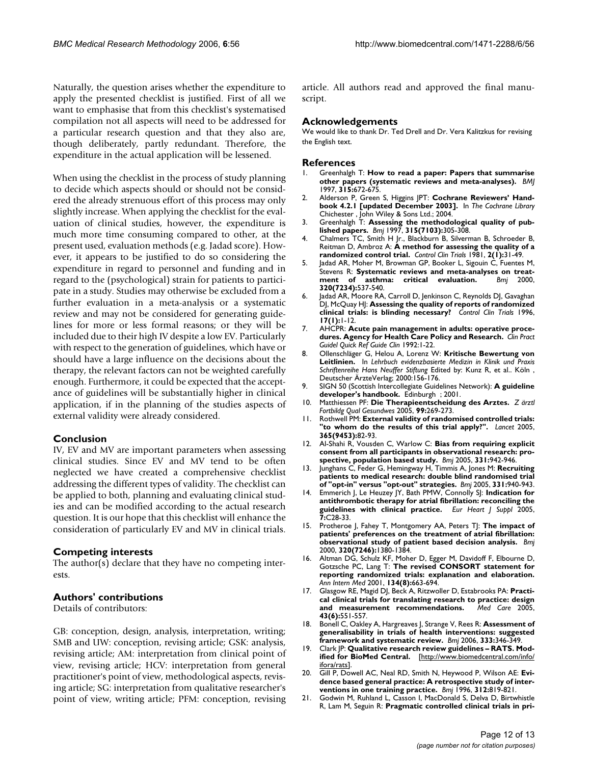Naturally, the question arises whether the expenditure to apply the presented checklist is justified. First of all we want to emphasise that from this checklist's systematised compilation not all aspects will need to be addressed for a particular research question and that they also are, though deliberately, partly redundant. Therefore, the expenditure in the actual application will be lessened.

When using the checklist in the process of study planning to decide which aspects should or should not be considered the already strenuous effort of this process may only slightly increase. When applying the checklist for the evaluation of clinical studies, however, the expenditure is much more time consuming compared to other, at the present used, evaluation methods (e.g. Jadad score). However, it appears to be justified to do so considering the expenditure in regard to personnel and funding and in regard to the (psychological) strain for patients to participate in a study. Studies may otherwise be excluded from a further evaluation in a meta-analysis or a systematic review and may not be considered for generating guidelines for more or less formal reasons; or they will be included due to their high IV despite a low EV. Particularly with respect to the generation of guidelines, which have or should have a large influence on the decisions about the therapy, the relevant factors can not be weighted carefully enough. Furthermore, it could be expected that the acceptance of guidelines will be substantially higher in clinical application, if in the planning of the studies aspects of external validity were already considered.

#### **Conclusion**

IV, EV and MV are important parameters when assessing clinical studies. Since EV and MV tend to be often neglected we have created a comprehensive checklist addressing the different types of validity. The checklist can be applied to both, planning and evaluating clinical studies and can be modified according to the actual research question. It is our hope that this checklist will enhance the consideration of particularly EV and MV in clinical trials.

#### **Competing interests**

The author(s) declare that they have no competing interests.

#### **Authors' contributions**

Details of contributors:

GB: conception, design, analysis, interpretation, writing; SMB and UW: conception, revising article; GSK: analysis, revising article; AM: interpretation from clinical point of view, revising article; HCV: interpretation from general practitioner's point of view, methodological aspects, revising article; SG: interpretation from qualitative researcher's point of view, writing article; PFM: conception, revising article. All authors read and approved the final manuscript.

#### **Acknowledgements**

We would like to thank Dr. Ted Drell and Dr. Vera Kalitzkus for revising the English text.

#### **References**

- 1. Greenhalgh T: **[How to read a paper: Papers that summarise](http://www.ncbi.nlm.nih.gov/entrez/query.fcgi?cmd=Retrieve&db=PubMed&dopt=Abstract&list_uids=9310574) [other papers \(systematic reviews and meta-analyses\).](http://www.ncbi.nlm.nih.gov/entrez/query.fcgi?cmd=Retrieve&db=PubMed&dopt=Abstract&list_uids=9310574)** *BMJ* 1997, **315:**672-675.
- 2. Alderson P, Green S, Higgins JPT: **Cochrane Reviewers' Handbook 4.2.1 [updated December 2003].** In *The Cochrane Library* Chichester , John Wiley & Sons Ltd.; 2004.
- 3. Greenhalgh T: **[Assessing the methodological quality of pub](http://www.ncbi.nlm.nih.gov/entrez/query.fcgi?cmd=Retrieve&db=PubMed&dopt=Abstract&list_uids=9274555)[lished papers.](http://www.ncbi.nlm.nih.gov/entrez/query.fcgi?cmd=Retrieve&db=PubMed&dopt=Abstract&list_uids=9274555)** *Bmj* 1997, **315(7103):**305-308.
- 4. Chalmers TC, Smith H Jr., Blackburn B, Silverman B, Schroeder B, Reitman D, Ambroz A: **[A method for assessing the quality of a](http://www.ncbi.nlm.nih.gov/entrez/query.fcgi?cmd=Retrieve&db=PubMed&dopt=Abstract&list_uids=7261638) [randomized control trial.](http://www.ncbi.nlm.nih.gov/entrez/query.fcgi?cmd=Retrieve&db=PubMed&dopt=Abstract&list_uids=7261638)** *Control Clin Trials* 1981, **2(1):**31-49.
- 5. Jadad AR, Moher M, Browman GP, Booker L, Sigouin C, Fuentes M, Stevens R: **Systematic reviews and meta-analyses on treat-<br>ment of asthma: critical evaluation. Bmi 2000.** [ment of asthma: critical evaluation.](http://www.ncbi.nlm.nih.gov/entrez/query.fcgi?cmd=Retrieve&db=PubMed&dopt=Abstract&list_uids=10688558) **320(7234):**537-540.
- 6. Jadad AR, Moore RA, Carroll D, Jenkinson C, Reynolds DJ, Gavaghan DJ, McQuay HJ: **[Assessing the quality of reports of randomized](http://www.ncbi.nlm.nih.gov/entrez/query.fcgi?cmd=Retrieve&db=PubMed&dopt=Abstract&list_uids=8721797) [clinical trials: is blinding necessary?](http://www.ncbi.nlm.nih.gov/entrez/query.fcgi?cmd=Retrieve&db=PubMed&dopt=Abstract&list_uids=8721797)** *Control Clin Trials* 1996, **17(1):**1-12.
- 7. AHCPR: **Acute pain management in adults: operative procedures. Agency for Health Care Policy and Research.** *Clin Pract Guidel Quick Ref Guide Clin* 1992:1-22.
- 8. Ollenschläger G, Helou A, Lorenz W: **Kritische Bewertung von Leitlinien.** In *Lehrbuch evidenzbasierte Medizin in Klinik und Praxis Schriftenreihe Hans Neuffer Stiftung* Edited by: Kunz R, et al.. Köln , Deutscher ÄrzteVerlag; 2000:156-176.
- 9. SIGN 50 (Scottish Intercollegiate Guidelines Network): **A guideline developer's handbook.** Edinburgh ; 2001.
- 10. Matthiessen PF: **Die Therapieentscheidung des Arztes.** *Z ärztl Fortbildg Qual Gesundwes* 2005, **99:**269-273.
- 11. Rothwell PM: **[External validity of randomised controlled trials:](http://www.ncbi.nlm.nih.gov/entrez/query.fcgi?cmd=Retrieve&db=PubMed&dopt=Abstract&list_uids=15639683) ["to whom do the results of this trial apply?".](http://www.ncbi.nlm.nih.gov/entrez/query.fcgi?cmd=Retrieve&db=PubMed&dopt=Abstract&list_uids=15639683)** *Lancet* 2005, **365(9453):**82-93.
- 12. Al-Shahi R, Vousden C, Warlow C: **[Bias from requiring explicit](http://www.ncbi.nlm.nih.gov/entrez/query.fcgi?cmd=Retrieve&db=PubMed&dopt=Abstract&list_uids=16223793) [consent from all participants in observational research: pro](http://www.ncbi.nlm.nih.gov/entrez/query.fcgi?cmd=Retrieve&db=PubMed&dopt=Abstract&list_uids=16223793)[spective, population based study.](http://www.ncbi.nlm.nih.gov/entrez/query.fcgi?cmd=Retrieve&db=PubMed&dopt=Abstract&list_uids=16223793)** *Bmj* 2005, **331:**942-946.
- 13. Junghans C, Feder G, Hemingway H, Timmis A, Jones M: **[Recruiting](http://www.ncbi.nlm.nih.gov/entrez/query.fcgi?cmd=Retrieve&db=PubMed&dopt=Abstract&list_uids=16157604) [patients to medical research: double blind randomised trial](http://www.ncbi.nlm.nih.gov/entrez/query.fcgi?cmd=Retrieve&db=PubMed&dopt=Abstract&list_uids=16157604) [of "opt-in" versus "opt-out" strategies.](http://www.ncbi.nlm.nih.gov/entrez/query.fcgi?cmd=Retrieve&db=PubMed&dopt=Abstract&list_uids=16157604)** *Bmj* 2005, **331:**940-943.
- 14. Emmerich J, Le Heuzey JY, Bath PMW, Connolly SJ: **Indication for antithrombotic therapy for atrial fibrillation: reconciling the guidelines with clinical practice.** *Eur Heart J Suppl* 2005, **7:**C28-33.
- 15. Protheroe J, Fahey T, Montgomery AA, Peters TJ: **[The impact of](http://www.ncbi.nlm.nih.gov/entrez/query.fcgi?cmd=Retrieve&db=PubMed&dopt=Abstract&list_uids=10818030) [patients' preferences on the treatment of atrial fibrillation:](http://www.ncbi.nlm.nih.gov/entrez/query.fcgi?cmd=Retrieve&db=PubMed&dopt=Abstract&list_uids=10818030) [observational study of patient based decision analysis.](http://www.ncbi.nlm.nih.gov/entrez/query.fcgi?cmd=Retrieve&db=PubMed&dopt=Abstract&list_uids=10818030)** *Bmj* 2000, **320(7246):**1380-1384.
- 16. Altman DG, Schulz KF, Moher D, Egger M, Davidoff F, Elbourne D, Gotzsche PC, Lang T: **[The revised CONSORT statement for](http://www.ncbi.nlm.nih.gov/entrez/query.fcgi?cmd=Retrieve&db=PubMed&dopt=Abstract&list_uids=11304107) [reporting randomized trials: explanation and elaboration.](http://www.ncbi.nlm.nih.gov/entrez/query.fcgi?cmd=Retrieve&db=PubMed&dopt=Abstract&list_uids=11304107)** *Ann Intern Med* 2001, **134(8):**663-694.
- 17. Glasgow RE, Magid DJ, Beck A, Ritzwoller D, Estabrooks PA: **[Practi](http://www.ncbi.nlm.nih.gov/entrez/query.fcgi?cmd=Retrieve&db=PubMed&dopt=Abstract&list_uids=15908849)[cal clinical trials for translating research to practice: design](http://www.ncbi.nlm.nih.gov/entrez/query.fcgi?cmd=Retrieve&db=PubMed&dopt=Abstract&list_uids=15908849)** [and measurement recommendations.](http://www.ncbi.nlm.nih.gov/entrez/query.fcgi?cmd=Retrieve&db=PubMed&dopt=Abstract&list_uids=15908849) **43(6):**551-557.
- 18. Bonell C, Oakley A, Hargreaves J, Strange V, Rees R: **[Assessment of](http://www.ncbi.nlm.nih.gov/entrez/query.fcgi?cmd=Retrieve&db=PubMed&dopt=Abstract&list_uids=16902217) [generalisability in trials of health interventions: suggested](http://www.ncbi.nlm.nih.gov/entrez/query.fcgi?cmd=Retrieve&db=PubMed&dopt=Abstract&list_uids=16902217) [framework and systematic review.](http://www.ncbi.nlm.nih.gov/entrez/query.fcgi?cmd=Retrieve&db=PubMed&dopt=Abstract&list_uids=16902217)** *Bmj* 2006, **333:**346-349.
- 19. Clark JP: **Qualitative research review guidelines RATS. Modified for BioMed Central.** [\[http://www.biomedcentral.com/info/](http://www.biomedcentral.com/info/ifora/rats) [ifora/rats](http://www.biomedcentral.com/info/ifora/rats)].
- 20. Gill P, Dowell AC, Neal RD, Smith N, Heywood P, Wilson AE: **[Evi](http://www.ncbi.nlm.nih.gov/entrez/query.fcgi?cmd=Retrieve&db=PubMed&dopt=Abstract&list_uids=8608291)[dence based general practice: A retrospective study of inter](http://www.ncbi.nlm.nih.gov/entrez/query.fcgi?cmd=Retrieve&db=PubMed&dopt=Abstract&list_uids=8608291)[ventions in one training practice.](http://www.ncbi.nlm.nih.gov/entrez/query.fcgi?cmd=Retrieve&db=PubMed&dopt=Abstract&list_uids=8608291)** *Bmj* 1996, **312:**819-821.
- 21. Godwin M, Ruhland L, Casson I, MacDonald S, Delva D, Birtwhistle R, Lam M, Seguin R: **[Pragmatic controlled clinical trials in pri](http://www.ncbi.nlm.nih.gov/entrez/query.fcgi?cmd=Retrieve&db=PubMed&dopt=Abstract&list_uids=14690550)-**